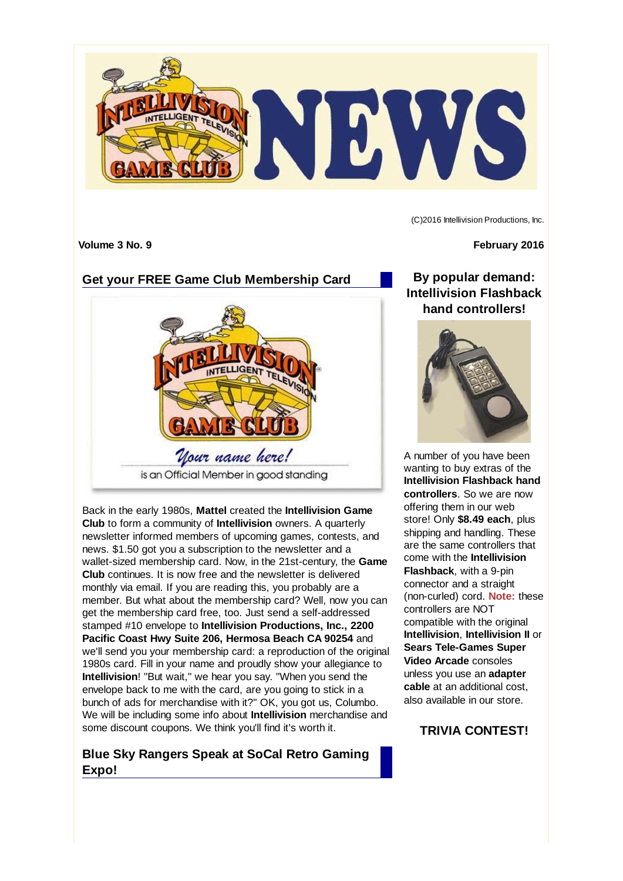

(C)2016 Intellivision Productions, Inc.

## **Get your FREE Game Club Membership Card**



Back in the early 1980s, **Mattel** created the **Intellivision Game Club** to form a community of **Intellivision** owners. A quarterly newsletter informed members of upcoming games, contests, and news. \$1.50 got you a subscription to the newsletter and a wallet-sized membership card. Now, in the 21st-century, the **Game Club** continues. It is now free and the newsletter is delivered monthly via email. If you are reading this, you probably are a member. But what about the membership card? Well, now you can get the membership card free, too. Just send a self-addressed stamped #10 envelope to **Intellivision Productions, Inc., 2200 Pacific Coast Hwy Suite 206, Hermosa Beach CA 90254** and we'll send you your membership card: a reproduction of the original 1980s card. Fill in your name and proudly show your allegiance to **Intellivision**! "But wait," we hear you say. "When you send the envelope back to me with the card, are you going to stick in a bunch of ads for merchandise with it?" OK, you got us, Columbo. We will be including some info about **Intellivision** merchandise and some discount coupons. We think you'll find it's worth it.

#### **Blue Sky Rangers Speak at SoCal Retro Gaming Expo!**

**Volume 3 No. 9 February 2016**

**By popular demand: Intellivision Flashback hand controllers!**



A number of you have been wanting to buy extras of the **Intellivision Flashback hand controllers**. So we are now offering them in our web store! Only **\$8.49 each**, plus shipping and handling. These are the same controllers that come with the **Intellivision Flashback**, with a 9-pin connector and a straight (non-curled) cord. **Note:** these controllers are NOT compatible with the original **Intellivision**, **Intellivision II** or **Sears Tele-Games Super Video Arcade** consoles unless you use an **adapter cable** at an additional cost, also available in our store.

# **TRIVIA CONTEST!**